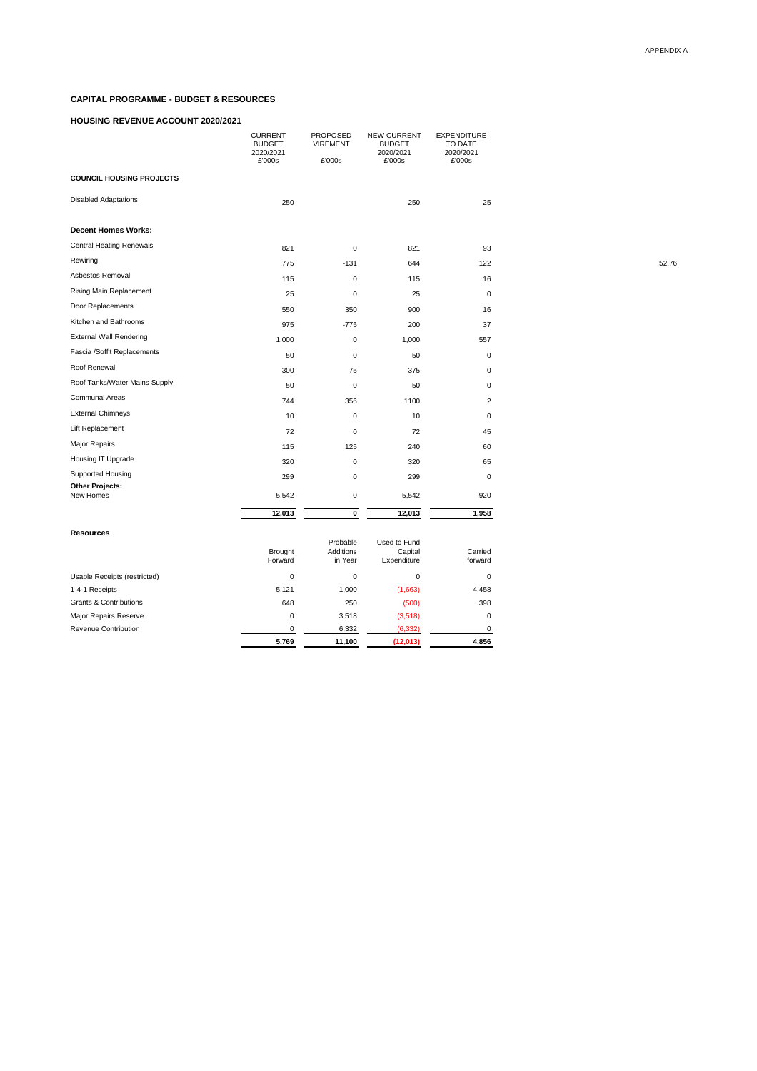# **CAPITAL PROGRAMME - BUDGET & RESOURCES**

### **HOUSING REVENUE ACCOUNT 2020/2021**

|                                     | <b>CURRENT</b><br><b>BUDGET</b><br>2020/2021<br>£'000s | PROPOSED<br><b>VIREMENT</b><br>£'000s | <b>NEW CURRENT</b><br><b>BUDGET</b><br>2020/2021<br>£'000s | <b>EXPENDITURE</b><br>TO DATE<br>2020/2021<br>£'000s |       |
|-------------------------------------|--------------------------------------------------------|---------------------------------------|------------------------------------------------------------|------------------------------------------------------|-------|
| <b>COUNCIL HOUSING PROJECTS</b>     |                                                        |                                       |                                                            |                                                      |       |
| <b>Disabled Adaptations</b>         | 250                                                    |                                       | 250                                                        | 25                                                   |       |
| <b>Decent Homes Works:</b>          |                                                        |                                       |                                                            |                                                      |       |
| <b>Central Heating Renewals</b>     | 821                                                    | $\mathbf 0$                           | 821                                                        | 93                                                   |       |
| Rewiring                            | 775                                                    | $-131$                                | 644                                                        | 122                                                  | 52.76 |
| Asbestos Removal                    | 115                                                    | $\pmb{0}$                             | 115                                                        | 16                                                   |       |
| <b>Rising Main Replacement</b>      | 25                                                     | $\mathbf 0$                           | 25                                                         | $\mathbf 0$                                          |       |
| Door Replacements                   | 550                                                    | 350                                   | 900                                                        | 16                                                   |       |
| Kitchen and Bathrooms               | 975                                                    | $-775$                                | 200                                                        | 37                                                   |       |
| <b>External Wall Rendering</b>      | 1,000                                                  | $\pmb{0}$                             | 1,000                                                      | 557                                                  |       |
| Fascia /Soffit Replacements         | 50                                                     | $\pmb{0}$                             | 50                                                         | $\mathbf 0$                                          |       |
| Roof Renewal                        | 300                                                    | 75                                    | 375                                                        | $\mathbf 0$                                          |       |
| Roof Tanks/Water Mains Supply       | 50                                                     | $\mathbf 0$                           | 50                                                         | $\mathbf 0$                                          |       |
| <b>Communal Areas</b>               | 744                                                    | 356                                   | 1100                                                       | 2                                                    |       |
| <b>External Chimneys</b>            | 10                                                     | $\mathbf 0$                           | 10                                                         | $\pmb{0}$                                            |       |
| Lift Replacement                    | 72                                                     | $\pmb{0}$                             | 72                                                         | 45                                                   |       |
| <b>Major Repairs</b>                | 115                                                    | 125                                   | 240                                                        | 60                                                   |       |
| Housing IT Upgrade                  | 320                                                    | $\mathbf 0$                           | 320                                                        | 65                                                   |       |
| <b>Supported Housing</b>            | 299                                                    | $\pmb{0}$                             | 299                                                        | $\pmb{0}$                                            |       |
| <b>Other Projects:</b><br>New Homes | 5,542                                                  | $\mathbf 0$                           | 5,542                                                      | 920                                                  |       |
|                                     | 12,013                                                 | $\mathbf 0$                           | 12,013                                                     | 1,958                                                |       |
|                                     |                                                        |                                       |                                                            |                                                      |       |

#### **Resources**

|                                   | <b>Brought</b><br>Forward | Probable<br>Additions<br>in Year | Used to Fund<br>Capital<br>Expenditure | Carried<br>forward |
|-----------------------------------|---------------------------|----------------------------------|----------------------------------------|--------------------|
| Usable Receipts (restricted)      | 0                         | 0                                | 0                                      | 0                  |
| 1-4-1 Receipts                    | 5,121                     | 1,000                            | (1,663)                                | 4,458              |
| <b>Grants &amp; Contributions</b> | 648                       | 250                              | (500)                                  | 398                |
| <b>Major Repairs Reserve</b>      | 0                         | 3,518                            | (3,518)                                | 0                  |
| <b>Revenue Contribution</b>       |                           | 6,332                            | (6, 332)                               | 0                  |
|                                   |                           | .                                | .                                      |                    |

| 5,769 | .100<br>4 4 | $\mathbf{A}$ $\mathbf{A}$ | .856<br>4 |
|-------|-------------|---------------------------|-----------|
|       |             |                           |           |